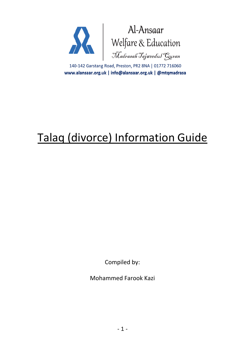

Al-Ansaar<br>Welfare & Education<br>Madrasah Tajweedul Guran

140-142 Garstang Road, Preston, PR2 8NA | 01772 716060 www.alansaar.org.uk | info@alansaar.org.uk | @mtqmadrasa

# Talaq (divorce) Information Guide

Compiled by:

Mohammed Farook Kazi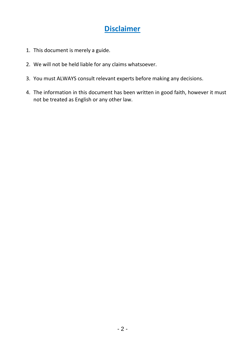# **Disclaimer**

- 1. This document is merely a guide.
- 2. We will not be held liable for any claims whatsoever.
- 3. You must ALWAYS consult relevant experts before making any decisions.
- 4. The information in this document has been written in good faith, however it must not be treated as English or any other law.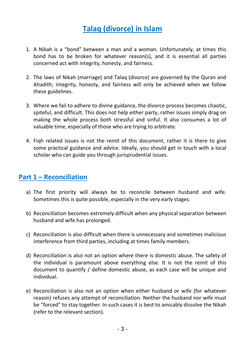# **Talaq (divorce) in Islam**

- 1. A Nikah is a "bond" between a man and a woman. Unfortunately, at times this bond has to be broken for whatever reason(s), and it is essential all parties concerned act with integrity, honesty, and fairness.
- 2. The laws of Nikah (marriage) and Talaq (divorce) are governed by the Quran and Ahadith; integrity, honesty, and fairness will only be achieved when we follow these guidelines.
- 3. Where we fail to adhere to divine guidance, the divorce process becomes chaotic, spiteful, and difficult. This does not help either party, rather issues simply drag on making the whole process both stressful and sinful. It also consumes a lot of valuable time, especially of those who are trying to arbitrate.
- 4. Fiqh related issues is not the remit of this document, rather it is there to give some practical guidance and advice. Ideally, you should get in touch with a local scholar who can guide you through jurisprudential issues.

#### **Part 1 – Reconciliation**

- a) The first priority will always be to reconcile between husband and wife. Sometimes this is quite possible, especially in the very early stages.
- b) Reconciliation becomes extremely difficult when any physical separation between husband and wife has prolonged.
- c) Reconciliation is also difficult when there is unnecessary and sometimes malicious interference from third parties, including at times family members.
- d) Reconciliation is also not an option where there is domestic abuse. The safety of the individual is paramount above everything else. It is not the remit of this document to quantify / define domestic abuse, as each case will be unique and individual.
- e) Reconciliation is also not an option when either husband or wife (for whatever reason) refuses any attempt of reconciliation. Neither the husband nor wife must be "forced" to stay together. In such cases it is best to amicably dissolve the Nikah (refer to the relevant section).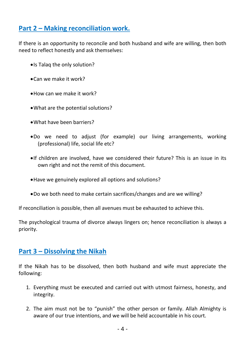# **Part 2 – Making reconciliation work.**

If there is an opportunity to reconcile and both husband and wife are willing, then both need to reflect honestly and ask themselves:

- •Is Talaq the only solution?
- •Can we make it work?
- •How can we make it work?
- •What are the potential solutions?
- •What have been barriers?
- •Do we need to adjust (for example) our living arrangements, working (professional) life, social life etc?
- •If children are involved, have we considered their future? This is an issue in its own right and not the remit of this document.
- •Have we genuinely explored all options and solutions?
- •Do we both need to make certain sacrifices/changes and are we willing?

If reconciliation is possible, then all avenues must be exhausted to achieve this.

The psychological trauma of divorce always lingers on; hence reconciliation is always a priority.

#### **Part 3 – Dissolving the Nikah**

If the Nikah has to be dissolved, then both husband and wife must appreciate the following:

- 1. Everything must be executed and carried out with utmost fairness, honesty, and integrity.
- 2. The aim must not be to "punish" the other person or family. Allah Almighty is aware of our true intentions, and we will be held accountable in his court.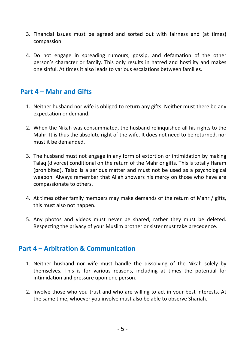- 3. Financial issues must be agreed and sorted out with fairness and (at times) compassion.
- 4. Do not engage in spreading rumours, gossip, and defamation of the other person's character or family. This only results in hatred and hostility and makes one sinful. At times it also leads to various escalations between families.

# **Part 4 – Mahr and Gifts**

- 1. Neither husband nor wife is obliged to return any gifts. Neither must there be any expectation or demand.
- 2. When the Nikah was consummated, the husband relinquished all his rights to the Mahr. It is thus the absolute right of the wife. It does not need to be returned, nor must it be demanded.
- 3. The husband must not engage in any form of extortion or intimidation by making Talaq (divorce) conditional on the return of the Mahr or gifts. This is totally Haram (prohibited). Talaq is a serious matter and must not be used as a psychological weapon. Always remember that Allah showers his mercy on those who have are compassionate to others.
- 4. At times other family members may make demands of the return of Mahr / gifts, this must also not happen.
- 5. Any photos and videos must never be shared, rather they must be deleted. Respecting the privacy of your Muslim brother or sister must take precedence.

## **Part 4 – Arbitration & Communication**

- 1. Neither husband nor wife must handle the dissolving of the Nikah solely by themselves. This is for various reasons, including at times the potential for intimidation and pressure upon one person.
- 2. Involve those who you trust and who are willing to act in your best interests. At the same time, whoever you involve must also be able to observe Shariah.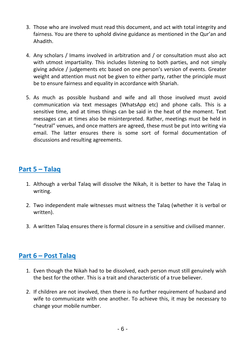- 3. Those who are involved must read this document, and act with total integrity and fairness. You are there to uphold divine guidance as mentioned in the Qur'an and Ahadith.
- 4. Any scholars / Imams involved in arbitration and / or consultation must also act with utmost impartiality. This includes listening to both parties, and not simply giving advice / judgements etc based on one person's version of events. Greater weight and attention must not be given to either party, rather the principle must be to ensure fairness and equality in accordance with Shariah.
- 5. As much as possible husband and wife and all those involved must avoid communication via text messages (WhatsApp etc) and phone calls. This is a sensitive time, and at times things can be said in the heat of the moment. Text messages can at times also be misinterpreted. Rather, meetings must be held in "neutral" venues, and once matters are agreed, these must be put into writing via email. The latter ensures there is some sort of formal documentation of discussions and resulting agreements.

# **Part 5 – Talaq**

- 1. Although a verbal Talaq will dissolve the Nikah, it is better to have the Talaq in writing.
- 2. Two independent male witnesses must witness the Talaq (whether it is verbal or written).
- 3. A written Talaq ensures there is formal closure in a sensitive and civilised manner.

## **Part 6 – Post Talaq**

- 1. Even though the Nikah had to be dissolved, each person must still genuinely wish the best for the other. This is a trait and characteristic of a true believer.
- 2. If children are not involved, then there is no further requirement of husband and wife to communicate with one another. To achieve this, it may be necessary to change your mobile number.